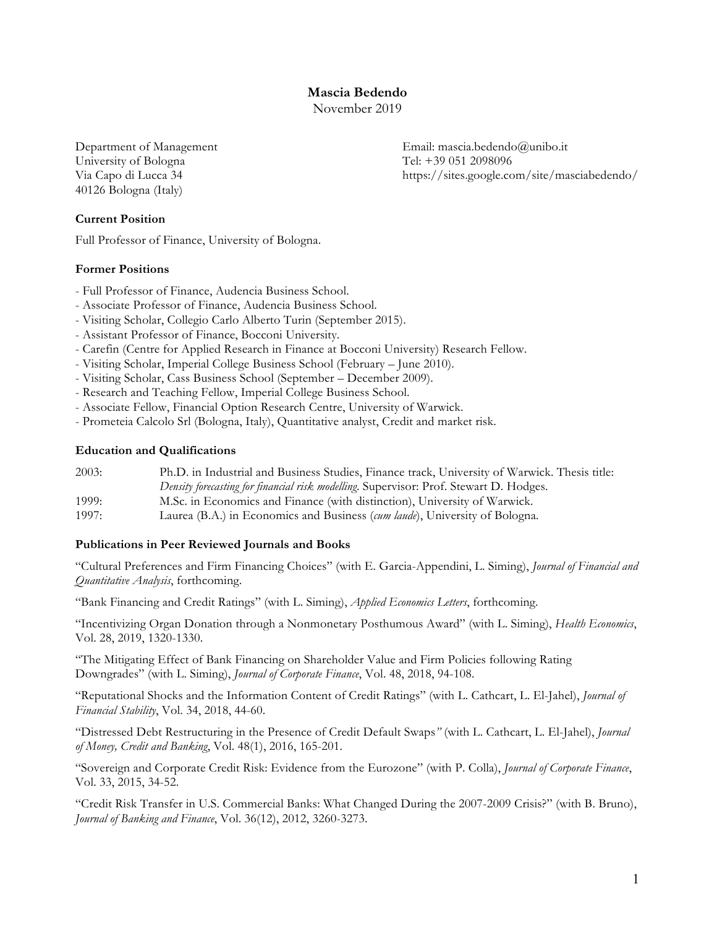**Mascia Bedendo**

November 2019

University of Bologna Tel: +39 051 2098096 40126 Bologna (Italy)

**Current Position**

Full Professor of Finance, University of Bologna.

# **Former Positions**

- Full Professor of Finance, Audencia Business School.
- Associate Professor of Finance, Audencia Business School.
- Visiting Scholar, Collegio Carlo Alberto Turin (September 2015).
- Assistant Professor of Finance, Bocconi University.
- Carefin (Centre for Applied Research in Finance at Bocconi University) Research Fellow.
- Visiting Scholar, Imperial College Business School (February June 2010).
- Visiting Scholar, Cass Business School (September December 2009).
- Research and Teaching Fellow, Imperial College Business School.
- Associate Fellow, Financial Option Research Centre, University of Warwick.
- Prometeia Calcolo Srl (Bologna, Italy), Quantitative analyst, Credit and market risk.

# **Education and Qualifications**

| 2003: | Ph.D. in Industrial and Business Studies, Finance track, University of Warwick. Thesis title: |
|-------|-----------------------------------------------------------------------------------------------|
|       | Density forecasting for financial risk modelling. Supervisor: Prof. Stewart D. Hodges.        |
| 1999: | M.Sc. in Economics and Finance (with distinction), University of Warwick.                     |
| 1997: | Laurea (B.A.) in Economics and Business (cum laude), University of Bologna.                   |

## **Publications in Peer Reviewed Journals and Books**

"Cultural Preferences and Firm Financing Choices" (with E. Garcia-Appendini, L. Siming), *Journal of Financial and Quantitative Analysis*, forthcoming.

"Bank Financing and Credit Ratings" (with L. Siming), *Applied Economics Letters*, forthcoming.

"Incentivizing Organ Donation through a Nonmonetary Posthumous Award" (with L. Siming), *Health Economics*, Vol. 28, 2019, 1320-1330.

"The Mitigating Effect of Bank Financing on Shareholder Value and Firm Policies following Rating Downgrades" (with L. Siming), *Journal of Corporate Finance*, Vol. 48, 2018, 94-108.

"Reputational Shocks and the Information Content of Credit Ratings" (with L. Cathcart, L. El-Jahel), *Journal of Financial Stability*, Vol. 34, 2018, 44-60.

"Distressed Debt Restructuring in the Presence of Credit Default Swaps*"* (with L. Cathcart, L. El-Jahel), *Journal of Money, Credit and Banking*, Vol. 48(1), 2016, 165-201.

"Sovereign and Corporate Credit Risk: Evidence from the Eurozone" (with P. Colla), *Journal of Corporate Finance*, Vol. 33, 2015, 34-52.

"Credit Risk Transfer in U.S. Commercial Banks: What Changed During the 2007-2009 Crisis?" (with B. Bruno), *Journal of Banking and Finance*, Vol. 36(12), 2012, 3260-3273.

Department of Management Email: mascia.bedendo@unibo.it Via Capo di Lucca 34 https://sites.google.com/site/masciabedendo/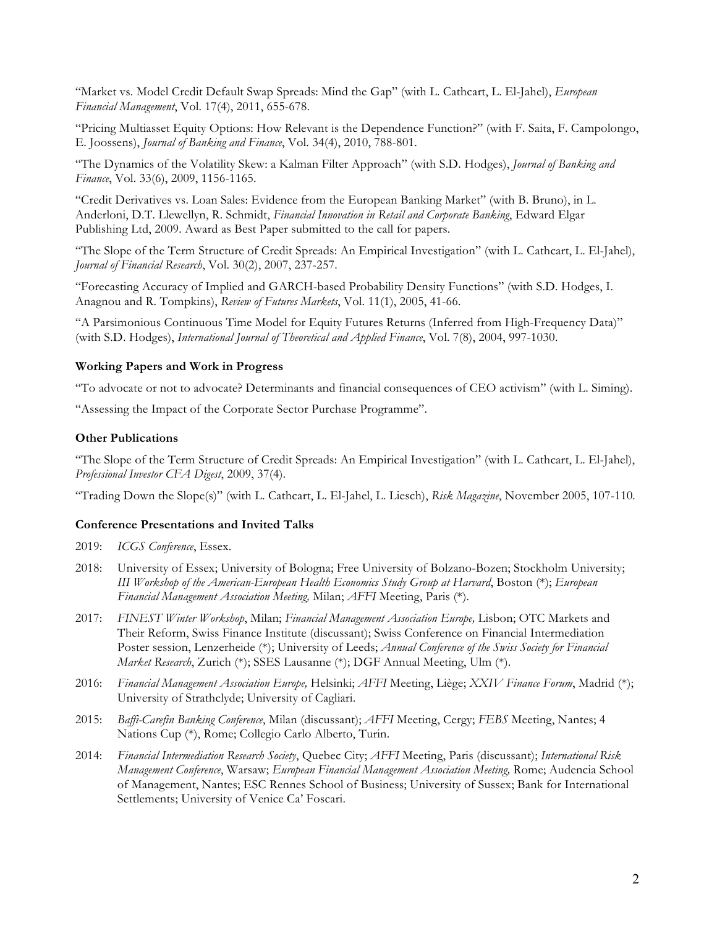"Market vs. Model Credit Default Swap Spreads: Mind the Gap" (with L. Cathcart, L. El-Jahel), *European Financial Management*, Vol. 17(4), 2011, 655-678.

"Pricing Multiasset Equity Options: How Relevant is the Dependence Function?" (with F. Saita, F. Campolongo, E. Joossens), *Journal of Banking and Finance*, Vol. 34(4), 2010, 788-801.

"The Dynamics of the Volatility Skew: a Kalman Filter Approach" (with S.D. Hodges), *Journal of Banking and Finance*, Vol. 33(6), 2009, 1156-1165.

"Credit Derivatives vs. Loan Sales: Evidence from the European Banking Market" (with B. Bruno), in L. Anderloni, D.T. Llewellyn, R. Schmidt, *Financial Innovation in Retail and Corporate Banking*, Edward Elgar Publishing Ltd, 2009. Award as Best Paper submitted to the call for papers.

"The Slope of the Term Structure of Credit Spreads: An Empirical Investigation" (with L. Cathcart, L. El-Jahel), *Journal of Financial Research*, Vol. 30(2), 2007, 237-257.

"Forecasting Accuracy of Implied and GARCH-based Probability Density Functions" (with S.D. Hodges, I. Anagnou and R. Tompkins), *Review of Futures Markets*, Vol. 11(1), 2005, 41-66.

"A Parsimonious Continuous Time Model for Equity Futures Returns (Inferred from High-Frequency Data)" (with S.D. Hodges), *International Journal of Theoretical and Applied Finance*, Vol. 7(8), 2004, 997-1030.

## **Working Papers and Work in Progress**

"To advocate or not to advocate? Determinants and financial consequences of CEO activism" (with L. Siming).

"Assessing the Impact of the Corporate Sector Purchase Programme".

#### **Other Publications**

"The Slope of the Term Structure of Credit Spreads: An Empirical Investigation" (with L. Cathcart, L. El-Jahel), *Professional Investor CFA Digest*, 2009, 37(4).

"Trading Down the Slope(s)" (with L. Cathcart, L. El-Jahel, L. Liesch), *Risk Magazine*, November 2005, 107-110*.*

## **Conference Presentations and Invited Talks**

2019: *ICGS Conference*, Essex.

- 2018: University of Essex; University of Bologna; Free University of Bolzano-Bozen; Stockholm University; *III Workshop of the American-European Health Economics Study Group at Harvard*, Boston (\*); *European Financial Management Association Meeting,* Milan; *AFFI* Meeting, Paris (\*).
- 2017: *FINEST Winter Workshop*, Milan; *Financial Management Association Europe,* Lisbon; OTC Markets and Their Reform, Swiss Finance Institute (discussant); Swiss Conference on Financial Intermediation Poster session, Lenzerheide (\*); University of Leeds; *Annual Conference of the Swiss Society for Financial Market Research*, Zurich (\*); SSES Lausanne (\*); DGF Annual Meeting, Ulm (\*).
- 2016: *Financial Management Association Europe,* Helsinki; *AFFI* Meeting, Liège; *XXIV Finance Forum*, Madrid (\*); University of Strathclyde; University of Cagliari.
- 2015: *Baffi-Carefin Banking Conference*, Milan (discussant); *AFFI* Meeting, Cergy; *FEBS* Meeting, Nantes; 4 Nations Cup (\*), Rome; Collegio Carlo Alberto, Turin.
- 2014: *Financial Intermediation Research Society*, Quebec City; *AFFI* Meeting, Paris (discussant); *International Risk Management Conference*, Warsaw; *European Financial Management Association Meeting,* Rome; Audencia School of Management, Nantes; ESC Rennes School of Business; University of Sussex; Bank for International Settlements; University of Venice Ca' Foscari.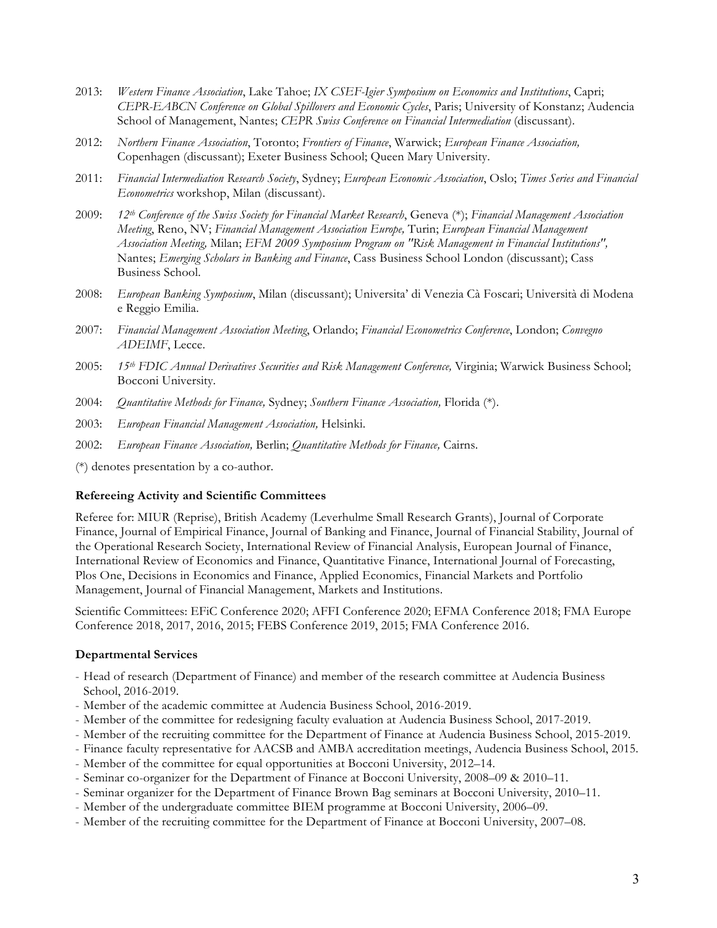- 2013: *Western Finance Association*, Lake Tahoe; *IX CSEF-Igier Symposium on Economics and Institutions*, Capri; *CEPR-EABCN Conference on Global Spillovers and Economic Cycles*, Paris; University of Konstanz; Audencia School of Management, Nantes; *CEPR Swiss Conference on Financial Intermediation* (discussant).
- 2012: *Northern Finance Association*, Toronto; *Frontiers of Finance*, Warwick; *European Finance Association,*  Copenhagen (discussant); Exeter Business School; Queen Mary University.
- 2011: *Financial Intermediation Research Society*, Sydney; *European Economic Association*, Oslo; *Times Series and Financial Econometrics* workshop, Milan (discussant).
- 2009: *12th Conference of the Swiss Society for Financial Market Research*, Geneva (\*); *Financial Management Association Meeting*, Reno, NV; *Financial Management Association Europe,* Turin; *European Financial Management Association Meeting,* Milan; *EFM 2009 Symposium Program on "Risk Management in Financial Institutions",*  Nantes; *Emerging Scholars in Banking and Finance*, Cass Business School London (discussant); Cass Business School.
- 2008: *European Banking Symposium*, Milan (discussant); Universita' di Venezia Cà Foscari; Università di Modena e Reggio Emilia.
- 2007: *Financial Management Association Meeting*, Orlando; *Financial Econometrics Conference*, London; *Convegno ADEIMF*, Lecce.
- 2005: *15th FDIC Annual Derivatives Securities and Risk Management Conference,* Virginia; Warwick Business School; Bocconi University.
- 2004: *Quantitative Methods for Finance,* Sydney; *Southern Finance Association,* Florida (\*).
- 2003: *European Financial Management Association,* Helsinki.
- 2002: *European Finance Association,* Berlin; *Quantitative Methods for Finance,* Cairns.

(\*) denotes presentation by a co-author.

## **Refereeing Activity and Scientific Committees**

Referee for: MIUR (Reprise), British Academy (Leverhulme Small Research Grants), Journal of Corporate Finance, Journal of Empirical Finance, Journal of Banking and Finance, Journal of Financial Stability, Journal of the Operational Research Society, International Review of Financial Analysis, European Journal of Finance, International Review of Economics and Finance, Quantitative Finance, International Journal of Forecasting, Plos One, Decisions in Economics and Finance, Applied Economics, Financial Markets and Portfolio Management, Journal of Financial Management, Markets and Institutions.

Scientific Committees: EFiC Conference 2020; AFFI Conference 2020; EFMA Conference 2018; FMA Europe Conference 2018, 2017, 2016, 2015; FEBS Conference 2019, 2015; FMA Conference 2016.

## **Departmental Services**

- Head of research (Department of Finance) and member of the research committee at Audencia Business School, 2016-2019.
- Member of the academic committee at Audencia Business School, 2016-2019.
- Member of the committee for redesigning faculty evaluation at Audencia Business School, 2017-2019.
- Member of the recruiting committee for the Department of Finance at Audencia Business School, 2015-2019.
- Finance faculty representative for AACSB and AMBA accreditation meetings, Audencia Business School, 2015.
- Member of the committee for equal opportunities at Bocconi University, 2012–14.
- Seminar co-organizer for the Department of Finance at Bocconi University, 2008–09 & 2010–11.
- Seminar organizer for the Department of Finance Brown Bag seminars at Bocconi University, 2010–11.
- Member of the undergraduate committee BIEM programme at Bocconi University, 2006–09.
- Member of the recruiting committee for the Department of Finance at Bocconi University, 2007–08.